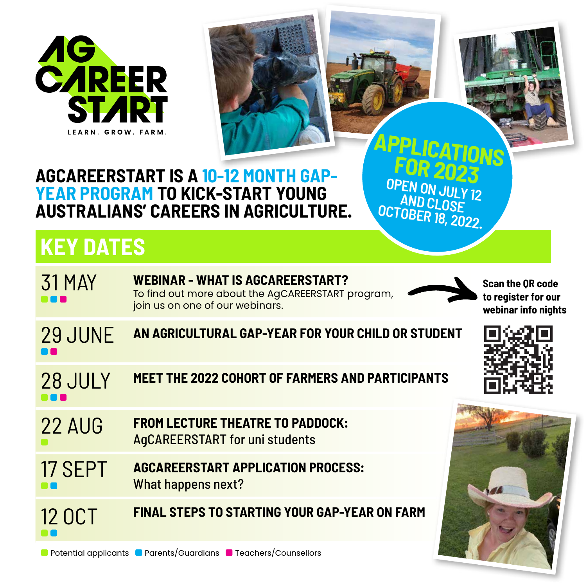



**OPEN ON JULY 12 AND CLOSE OCTOBER 18, 2022.**

## **AGCAREERSTART IS A 10-12 MONTH GAP-YEAR PROGRAM TO KICK-START YOUNG AUSTRALIANS' CAREERS IN AGRICULTURE.**

## **KEY DATES**

| <b>31 MAY</b>  | <b>WEBINAR - WHAT IS AGCAREERSTART?</b><br>To find out more about the AgCAREERSTART program,<br>join us on one of our webinars. | <b>Scan the OR code</b><br>to register for our<br>webinar info nights |
|----------------|---------------------------------------------------------------------------------------------------------------------------------|-----------------------------------------------------------------------|
| <b>29 JUNE</b> | AN AGRICULTURAL GAP-YEAR FOR YOUR CHILD OR STUDENT                                                                              |                                                                       |
| 28 JULY        | <b>MEET THE 2022 COHORT OF FARMERS AND PARTICIPANTS</b>                                                                         |                                                                       |
| <b>22 AUG</b>  | <b>FROM LECTURE THEATRE TO PADDOCK:</b><br><b>AgCAREERSTART for uni students</b>                                                |                                                                       |
| 17 SEPT        | <b>AGCAREERSTART APPLICATION PROCESS:</b><br>What happens next?                                                                 |                                                                       |
| <b>12 OCT</b>  | <b>FINAL STEPS TO STARTING YOUR GAP-YEAR ON FARM</b>                                                                            |                                                                       |